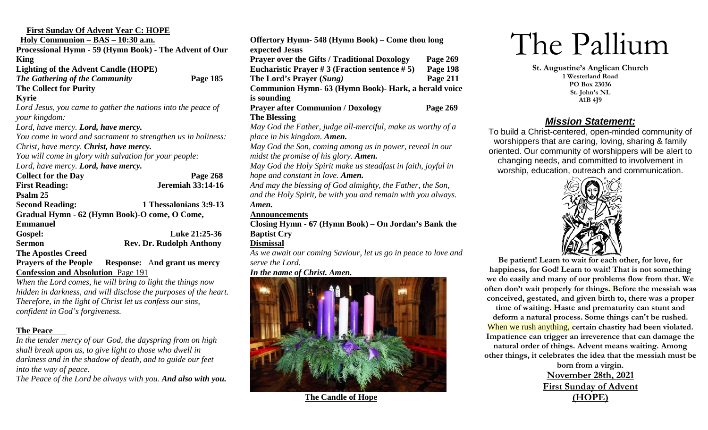| <b>First Sunday Of Advent Year C: HOPE</b>                   |                                     |  |  |  |
|--------------------------------------------------------------|-------------------------------------|--|--|--|
| <u> Holy Communion – BAS – 10:30 a.m.</u>                    |                                     |  |  |  |
| Processional Hymn - 59 (Hymn Book) - The Advent of Our       |                                     |  |  |  |
| King                                                         |                                     |  |  |  |
| <b>Lighting of the Advent Candle (HOPE)</b>                  |                                     |  |  |  |
| The Gathering of the Community                               | Page 185                            |  |  |  |
| <b>The Collect for Purity</b>                                |                                     |  |  |  |
| <b>Kyrie</b>                                                 |                                     |  |  |  |
| Lord Jesus, you came to gather the nations into the peace of |                                     |  |  |  |
| your kingdom:                                                |                                     |  |  |  |
| Lord, have mercy. Lord, have mercy.                          |                                     |  |  |  |
| You come in word and sacrament to strengthen us in holiness: |                                     |  |  |  |
| Christ, have mercy. Christ, have mercy.                      |                                     |  |  |  |
| You will come in glory with salvation for your people:       |                                     |  |  |  |
| Lord, have mercy. Lord, have mercy.                          |                                     |  |  |  |
| <b>Collect for the Day</b>                                   | Page 268                            |  |  |  |
| <b>First Reading:</b>                                        | <b>Jeremiah 33:14-16</b>            |  |  |  |
| Psalm 25                                                     |                                     |  |  |  |
| <b>Second Reading:</b>                                       | 1 Thessalonians 3:9-13              |  |  |  |
| Gradual Hymn - 62 (Hymn Book)-O come, O Come,                |                                     |  |  |  |
| <b>Emmanuel</b>                                              |                                     |  |  |  |
| Gospel:                                                      | Luke 21:25-36                       |  |  |  |
| <b>Sermon</b>                                                | <b>Rev. Dr. Rudolph Anthony</b>     |  |  |  |
| <b>The Apostles Creed</b>                                    |                                     |  |  |  |
| <b>Prayers of the People</b>                                 | <b>Response:</b> And grant us mercy |  |  |  |
| <b>Confession and Absolution</b> Page 191                    |                                     |  |  |  |

*When the Lord comes, he will bring to light the things now hidden in darkness, and will disclose the purposes of the heart. Therefore, in the light of Christ let us confess our sins, confident in God's forgiveness.*

#### **The Peace**

*In the tender mercy of our God, the dayspring from on high shall break upon us, to give light to those who dwell in darkness and in the shadow of death, and to guide our feet into the way of peace.* 

*The Peace of the Lord be always with you. And also with you.*

| Offertory Hymn- 548 (Hymn Book) – Come thou long                                             |          |
|----------------------------------------------------------------------------------------------|----------|
| expected Jesus                                                                               |          |
| <b>Prayer over the Gifts / Traditional Doxology</b>                                          | Page 269 |
| Eucharistic Prayer # 3 (Fraction sentence # 5)                                               | Page 198 |
| The Lord's Prayer (Sung)                                                                     | Page 211 |
| Communion Hymn- 63 (Hymn Book)- Hark, a herald voice                                         |          |
| is sounding                                                                                  |          |
| <b>Prayer after Communion / Doxology</b>                                                     | Page 269 |
| <b>The Blessing</b>                                                                          |          |
| May God the Father, judge all-merciful, make us worthy of a                                  |          |
| place in his kingdom. Amen.                                                                  |          |
| $M = C \cdot L L$ . The same of $L$ is the same of $L$ is the same of $L$ is the same of $L$ |          |

*May God the Son, coming among us in power, reveal in our midst the promise of his glory. Amen.*

*May God the Holy Spirit make us steadfast in faith, joyful in hope and constant in love. Amen.*

*And may the blessing of God almighty, the Father, the Son, and the Holy Spirit, be with you and remain with you always. Amen.*

### **Announcements**

**Closing Hymn - 67 (Hymn Book) – On Jordan's Bank the Baptist Cry**

#### **Dismissal**

*As we await our coming Saviour, let us go in peace to love and serve the Lord.* 

#### *In the name of Christ. Amen.*



 **The Candle of Hope**

# The Pallium

**St. Augustine's Anglican Church 1 Westerland Road PO Box 23036 St. John's NL A1B 4J9**

## *Mission Statement:*

To build a Christ-centered, open-minded community of worshippers that are caring, loving, sharing & family oriented. Our community of worshippers will be alert to changing needs, and committed to involvement in worship, education, outreach and communication.



**Be patient! Learn to wait for each other, for love, for happiness, for God! Learn to wait! That is not something we do easily and many of our problems flow from that. We often don't wait properly for things. Before the messiah was conceived, gestated, and given birth to, there was a proper time of waiting. Haste and prematurity can stunt and deform a natural process. Some things can't be rushed.** When we rush anything, **certain chastity had been violated. Impatience can trigger an irreverence that can damage the natural order of things. Advent means waiting. Among other things, it celebrates the idea that the messiah must be** 

**born from a virgin. November 28th, 2021 First Sunday of Advent (HOPE)**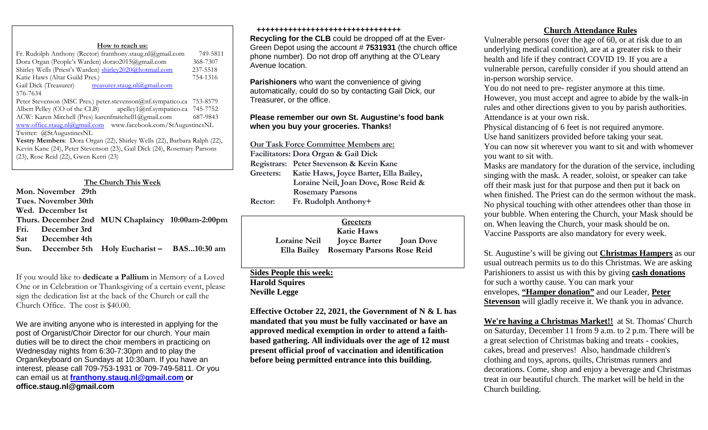#### **How to reach us:**

| Fr. Rudolph Anthony (Rector) franthony.staug.nl@gmail.com                | 749-5811 |  |  |
|--------------------------------------------------------------------------|----------|--|--|
| Dora Organ (People's Warden) dorao2015@gmail.com                         | 368-7307 |  |  |
| Shirley Wells (Priest's Warden) shirley2020@hotmail.com                  | 237-5518 |  |  |
| Katie Haws (Altar Guild Pres.)                                           | 754-1316 |  |  |
| Gail Dick (Treasurer) treasurer.staug.nl@gmail.com                       |          |  |  |
| 576-7634                                                                 |          |  |  |
| Peter Stevenson (MSC Pres.) peter.stevenson@nf.sympatico.ca              | 753-8579 |  |  |
| Albert Pelley (CO of the CLB) apelley1@nf.sympatico.ca 745-7752          |          |  |  |
| ACW: Karen Mitchell (Pres) karenfmitchell1@gmail.com                     | 687-9843 |  |  |
| www.office.staug.nl@gmail.com www.facebook.com/StAugustinesNL            |          |  |  |
| Twitter: @StAugustinesNL                                                 |          |  |  |
| Vestry Members: Dora Organ (22), Shirley Wells (22), Barbara Ralph (22), |          |  |  |
| Kevin Kane (24), Peter Stevenson (23), Gail Dick (24), Rosemary Parsons  |          |  |  |
| (23), Rose Reid (22), Gwen Kerri (23)                                    |          |  |  |
|                                                                          |          |  |  |

#### **The Church This Week**

|  | Mon. November 29th  |                                                   |  |
|--|---------------------|---------------------------------------------------|--|
|  | Tues. November 30th |                                                   |  |
|  | Wed. December 1st   |                                                   |  |
|  |                     | Thurs. December 2nd MUN Chaplaincy 10:00am-2:00pm |  |
|  | Fri. December 3rd   |                                                   |  |
|  | Sat December 4th    |                                                   |  |
|  |                     | Sun. December 5th Holy Eucharist - BAS10:30 am    |  |
|  |                     |                                                   |  |

If you would like to **dedicate a Pallium** in Memory of a Loved One or in Celebration or Thanksgiving of a certain event, please sign the dedication list at the back of the Church or call the Church Office. The cost is \$40.00.

We are inviting anyone who is interested in applying for the post of Organist/Choir Director for our church. Your main duties will be to direct the choir members in practicing on Wednesday nights from 6:30-7:30pm and to play the Organ/keyboard on Sundays at 10:30am. If you have an interest, please call 709-753-1931 or 709-749-5811. Or you can email us at **[franthony.staug.nl@gmail.com](mailto:franthony.staug.nl@gmail.com) or office.staug.nl@gmail.com**

#### **++++++++++++++++++++++++++++++++**

**Recycling for the CLB** could be dropped off at the Ever-Green Depot using the account # **7531931** (the church office phone number). Do not drop off anything at the O'Leary Avenue location.

**Parishioners** who want the convenience of giving automatically, could do so by contacting Gail Dick, our Treasurer, or the office.

#### **Please remember our own St. Augustine's food bank when you buy your groceries. Thanks!**

**Our Task Force Committee Members are: Facilitators: Dora Organ & Gail Dick Registrars: Peter Stevenson & Kevin Kane Greeters: Katie Haws, Joyce Barter, Ella Bailey, Loraine Neil, Joan Dove, Rose Reid & Rosemary Parsons Rector: Fr. Rudolph Anthony+**

|                     | Greeters                               |  |
|---------------------|----------------------------------------|--|
|                     | <b>Katie Haws</b>                      |  |
| <b>Loraine Neil</b> | <b>Joyce Barter</b> Joan Dove          |  |
|                     | Ella Bailey Rosemary Parsons Rose Reid |  |

#### **Sides People this week: Harold Squires Neville Legge**

**Effective October 22, 2021, the Government of N & L has mandated that you must be fully vaccinated or have an approved medical exemption in order to attend a faithbased gathering. All individuals over the age of 12 must present official proof of vaccination and identification before being permitted entrance into this building.**

#### **Church Attendance Rules**

Vulnerable persons (over the age of 60, or at risk due to an underlying medical condition), are at a greater risk to their health and life if they contract COVID 19. If you are a vulnerable person, carefully consider if you should attend an in-person worship service.

You do not need to pre- register anymore at this time. However, you must accept and agree to abide by the walk-in rules and other directions given to you by parish authorities. Attendance is at your own risk.

Physical distancing of 6 feet is not required anymore. Use hand sanitizers provided before taking your seat. You can now sit wherever you want to sit and with whomever

you want to sit with.

Masks are mandatory for the duration of the service, including singing with the mask. A reader, soloist, or speaker can take off their mask just for that purpose and then put it back on when finished. The Priest can do the sermon without the mask. No physical touching with other attendees other than those in your bubble. When entering the Church, your Mask should be on. When leaving the Church, your mask should be on. Vaccine Passports are also mandatory for every week.

St. Augustine's will be giving out **Christmas Hampers** as our usual outreach permits us to do this Christmas. We are asking Parishioners to assist us with this by giving **cash donations** for such a worthy cause. You can mark your envelopes, **"Hamper donation"** and our Leader, **Peter Stevenson** will gladly receive it. We thank you in advance.

**We're having a Christmas Market!!** at St. Thomas' Church on Saturday, December 11 from 9 a.m. to 2 p.m. There will be a great selection of Christmas baking and treats - cookies, cakes, bread and preserves! Also, handmade children's clothing and toys, aprons, quilts, Christmas runners and decorations. Come, shop and enjoy a beverage and Christmas treat in our beautiful church. The market will be held in the Church building.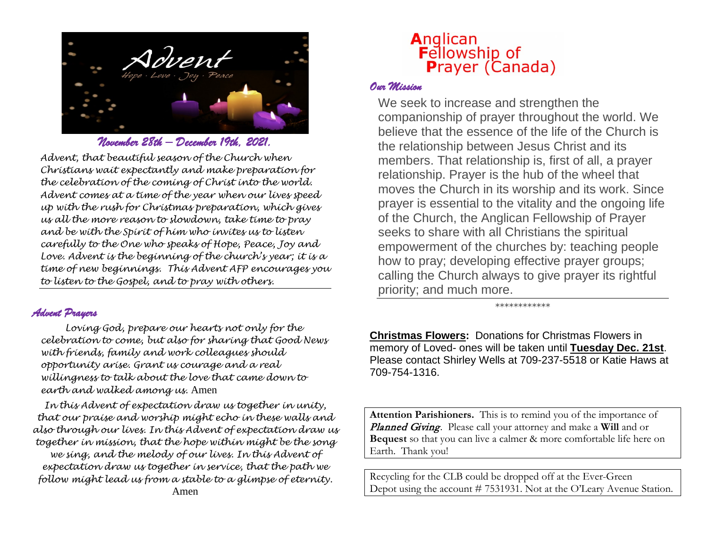

*November 28th – December 19th, 2021.* 

*Advent, that beautiful season of the Church when Christians wait expectantly and make preparation for the celebration of the coming of Christ into the world. Advent comes at a time of the year when our lives speed up with the rush for Christmas preparation, which gives us all the more reason to slowdown, take time to pray and be with the Spirit of him who invites us to listen carefully to the One who speaks of Hope, Peace, Joy and Love. Advent is the beginning of the church's year; it is a time of new beginnings. This Advent AFP encourages you to listen to the Gospel, and to pray with others.* 

#### *Advent Prayers*

*Loving God, prepare our hearts not only for the celebration to come, but also for sharing that Good News with friends, family and work colleagues should opportunity arise. Grant us courage and a real willingness to talk about the love that came down to earth and walked among us.* Amen

*In this Advent of expectation draw us together in unity, that our praise and worship might echo in these walls and also through our lives. In this Advent of expectation draw us together in mission, that the hope within might be the song we sing, and the melody of our lives. In this Advent of expectation draw us together in service, that the path we follow might lead us from a stable to a glimpse of eternity.* Amen

# Anglican **Fellowship of Prayer (Canada)**

#### *Our Mission*

We seek to increase and strengthen the companionship of prayer throughout the world. We believe that the essence of the life of the Church is the relationship between Jesus Christ and its members. That relationship is, first of all, a prayer relationship. Prayer is the hub of the wheel that moves the Church in its worship and its work. Since prayer is essential to the vitality and the ongoing life of the Church, the Anglican Fellowship of Prayer seeks to share with all Christians the spiritual empowerment of the churches by: teaching people how to pray; developing effective prayer groups; calling the Church always to give prayer its rightful priority; and much more.

\*\*\*\*\*\*\*\*\*\*\*\*

**Christmas Flowers:** Donations for Christmas Flowers in memory of Loved- ones will be taken until **Tuesday Dec. 21st**. Please contact Shirley Wells at 709-237-5518 or Katie Haws at 709-754-1316.

**Attention Parishioners.** This is to remind you of the importance of Planned Giving. Please call your attorney and make a **Will** and or **Bequest** so that you can live a calmer & more comfortable life here on Earth. Thank you!

Recycling for the CLB could be dropped off at the Ever-Green Depot using the account # 7531931. Not at the O'Leary Avenue Station.